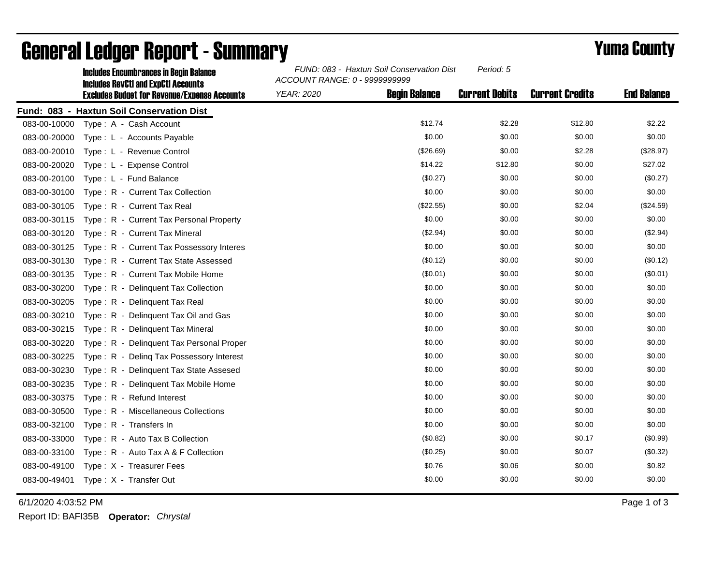|              | <b>Includes Encumbrances in Begin Balance</b><br><b>Includes RevCtI and ExpCtI Accounts</b> | FUND: 083 - Haxtun Soil Conservation Dist<br>Period: 5<br>ACCOUNT RANGE: 0 - 9999999999 |                      |                       |                        |                    |
|--------------|---------------------------------------------------------------------------------------------|-----------------------------------------------------------------------------------------|----------------------|-----------------------|------------------------|--------------------|
|              | <b>Excludes Budget for Revenue/Expense Accounts</b>                                         | <b>YEAR: 2020</b>                                                                       | <b>Begin Balance</b> | <b>Current Debits</b> | <b>Current Credits</b> | <b>End Balance</b> |
|              | Fund: 083 - Haxtun Soil Conservation Dist                                                   |                                                                                         |                      |                       |                        |                    |
| 083-00-10000 | Type: A - Cash Account                                                                      |                                                                                         | \$12.74              | \$2.28                | \$12.80                | \$2.22             |
| 083-00-20000 | Type: L - Accounts Payable                                                                  |                                                                                         | \$0.00               | \$0.00                | \$0.00                 | \$0.00             |
| 083-00-20010 | Type: L - Revenue Control                                                                   |                                                                                         | (\$26.69)            | \$0.00                | \$2.28                 | (\$28.97)          |
| 083-00-20020 | Type: L - Expense Control                                                                   |                                                                                         | \$14.22              | \$12.80               | \$0.00                 | \$27.02            |
| 083-00-20100 | Type: L - Fund Balance                                                                      |                                                                                         | (\$0.27)             | \$0.00                | \$0.00                 | (\$0.27)           |
| 083-00-30100 | Type: R - Current Tax Collection                                                            |                                                                                         | \$0.00               | \$0.00                | \$0.00                 | \$0.00             |
| 083-00-30105 | Type: R - Current Tax Real                                                                  |                                                                                         | (\$22.55)            | \$0.00                | \$2.04                 | (\$24.59)          |
| 083-00-30115 | Type: R - Current Tax Personal Property                                                     |                                                                                         | \$0.00               | \$0.00                | \$0.00                 | \$0.00             |
| 083-00-30120 | Type: R - Current Tax Mineral                                                               |                                                                                         | (\$2.94)             | \$0.00                | \$0.00                 | (\$2.94)           |
| 083-00-30125 | Type: R - Current Tax Possessory Interes                                                    |                                                                                         | \$0.00               | \$0.00                | \$0.00                 | \$0.00             |
| 083-00-30130 | Type: R - Current Tax State Assessed                                                        |                                                                                         | (\$0.12)             | \$0.00                | \$0.00                 | (\$0.12)           |
| 083-00-30135 | Type: R - Current Tax Mobile Home                                                           |                                                                                         | (\$0.01)             | \$0.00                | \$0.00                 | (\$0.01)           |
| 083-00-30200 | Type: R - Delinquent Tax Collection                                                         |                                                                                         | \$0.00               | \$0.00                | \$0.00                 | \$0.00             |
| 083-00-30205 | Type: R - Delinquent Tax Real                                                               |                                                                                         | \$0.00               | \$0.00                | \$0.00                 | \$0.00             |
| 083-00-30210 | Type: R - Delinquent Tax Oil and Gas                                                        |                                                                                         | \$0.00               | \$0.00                | \$0.00                 | \$0.00             |
| 083-00-30215 | Type: R - Delinguent Tax Mineral                                                            |                                                                                         | \$0.00               | \$0.00                | \$0.00                 | \$0.00             |
| 083-00-30220 | Type: R - Delinquent Tax Personal Proper                                                    |                                                                                         | \$0.00               | \$0.00                | \$0.00                 | \$0.00             |
| 083-00-30225 | Type: R - Deling Tax Possessory Interest                                                    |                                                                                         | \$0.00               | \$0.00                | \$0.00                 | \$0.00             |
| 083-00-30230 | Type: R - Delinquent Tax State Assesed                                                      |                                                                                         | \$0.00               | \$0.00                | \$0.00                 | \$0.00             |
| 083-00-30235 | Type: R - Delinquent Tax Mobile Home                                                        |                                                                                         | \$0.00               | \$0.00                | \$0.00                 | \$0.00             |
| 083-00-30375 | Type: R - Refund Interest                                                                   |                                                                                         | \$0.00               | \$0.00                | \$0.00                 | \$0.00             |
| 083-00-30500 | Type: R - Miscellaneous Collections                                                         |                                                                                         | \$0.00               | \$0.00                | \$0.00                 | \$0.00             |
| 083-00-32100 | Type: R - Transfers In                                                                      |                                                                                         | \$0.00               | \$0.00                | \$0.00                 | \$0.00             |
| 083-00-33000 | Type: R - Auto Tax B Collection                                                             |                                                                                         | (\$0.82)             | \$0.00                | \$0.17                 | (\$0.99)           |
| 083-00-33100 | Type: R - Auto Tax A & F Collection                                                         |                                                                                         | (\$0.25)             | \$0.00                | \$0.07                 | (\$0.32)           |
| 083-00-49100 | Type: X - Treasurer Fees                                                                    |                                                                                         | \$0.76               | \$0.06                | \$0.00                 | \$0.82             |
| 083-00-49401 | Type: X - Transfer Out                                                                      |                                                                                         | \$0.00               | \$0.00                | \$0.00                 | \$0.00             |

## General Ledger Report - Summary **Example 2018** Yuma County

6/1/2020 4:03:52 PM Page 1 of 3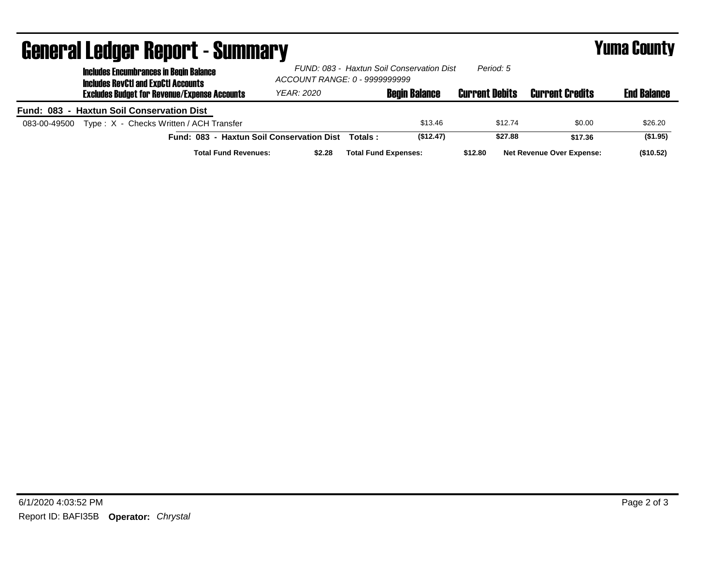| <b>General Ledger Report - Summary</b>                                                      |                                                                            |         |                             |                       | <b>Yuma County</b>               |                    |  |
|---------------------------------------------------------------------------------------------|----------------------------------------------------------------------------|---------|-----------------------------|-----------------------|----------------------------------|--------------------|--|
| <b>Includes Encumbrances in Begin Balance</b><br><b>Includes RevCtI and ExpCtI Accounts</b> | FUND: 083 - Haxtun Soil Conservation Dist<br>ACCOUNT RANGE: 0 - 9999999999 |         |                             | Period: 5             |                                  |                    |  |
| <b>Excludes Budget for Revenue/Expense Accounts</b>                                         | YEAR: 2020                                                                 |         | <b>Begin Balance</b>        | <b>Current Debits</b> | <b>Current Credits</b>           | <b>End Balance</b> |  |
| Fund: 083 - Haxtun Soil Conservation Dist                                                   |                                                                            |         |                             |                       |                                  |                    |  |
| Type: X - Checks Written / ACH Transfer<br>083-00-49500                                     |                                                                            |         | \$13.46                     | \$12.74               | \$0.00                           | \$26.20            |  |
| Fund: 083 - Haxtun Soil Conservation Dist                                                   |                                                                            | Totals: | (\$12.47)                   | \$27.88               | \$17.36                          | (\$1.95)           |  |
| <b>Total Fund Revenues:</b>                                                                 | \$2.28                                                                     |         | <b>Total Fund Expenses:</b> | \$12.80               | <b>Net Revenue Over Expense:</b> | (\$10.52)          |  |

## 6/1/2020 4:03:52 PM Page 2 of 3 Report ID: BAFI35B **Operator:** *Chrystal*